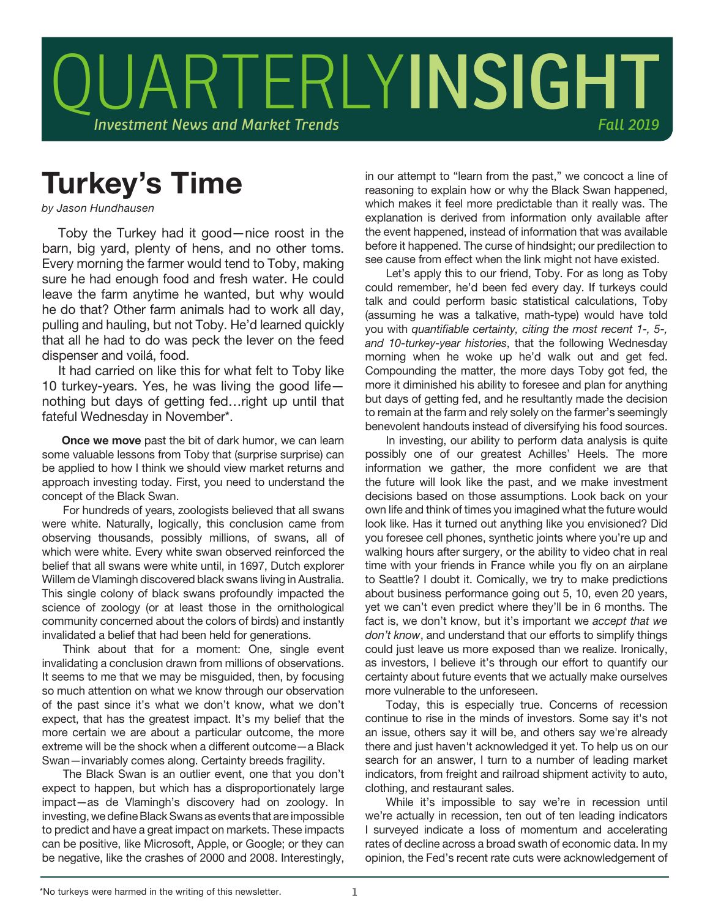

## Turkey's Time

*by Jason Hundhausen*

Toby the Turkey had it good—nice roost in the barn, big yard, plenty of hens, and no other toms. Every morning the farmer would tend to Toby, making sure he had enough food and fresh water. He could leave the farm anytime he wanted, but why would he do that? Other farm animals had to work all day, pulling and hauling, but not Toby. He'd learned quickly that all he had to do was peck the lever on the feed dispenser and voilá, food.

It had carried on like this for what felt to Toby like 10 turkey-years. Yes, he was living the good life nothing but days of getting fed…right up until that fateful Wednesday in November\*.

Once we move past the bit of dark humor, we can learn some valuable lessons from Toby that (surprise surprise) can be applied to how I think we should view market returns and approach investing today. First, you need to understand the concept of the Black Swan.

For hundreds of years, zoologists believed that all swans were white. Naturally, logically, this conclusion came from observing thousands, possibly millions, of swans, all of which were white. Every white swan observed reinforced the belief that all swans were white until, in 1697, Dutch explorer Willem de Vlamingh discovered black swans living in Australia. This single colony of black swans profoundly impacted the science of zoology (or at least those in the ornithological community concerned about the colors of birds) and instantly invalidated a belief that had been held for generations.

Think about that for a moment: One, single event invalidating a conclusion drawn from millions of observations. It seems to me that we may be misguided, then, by focusing so much attention on what we know through our observation of the past since it's what we don't know, what we don't expect, that has the greatest impact. It's my belief that the more certain we are about a particular outcome, the more extreme will be the shock when a different outcome—a Black Swan—invariably comes along. Certainty breeds fragility.

The Black Swan is an outlier event, one that you don't expect to happen, but which has a disproportionately large impact—as de Vlamingh's discovery had on zoology. In investing, we define Black Swans as events that are impossible to predict and have a great impact on markets. These impacts can be positive, like Microsoft, Apple, or Google; or they can be negative, like the crashes of 2000 and 2008. Interestingly,

in our attempt to "learn from the past," we concoct a line of reasoning to explain how or why the Black Swan happened, which makes it feel more predictable than it really was. The explanation is derived from information only available after the event happened, instead of information that was available before it happened. The curse of hindsight; our predilection to see cause from effect when the link might not have existed.

Let's apply this to our friend, Toby. For as long as Toby could remember, he'd been fed every day. If turkeys could talk and could perform basic statistical calculations, Toby (assuming he was a talkative, math-type) would have told you with *quantifiable certainty, citing the most recent 1-, 5-, and 10-turkey-year histories*, that the following Wednesday morning when he woke up he'd walk out and get fed. Compounding the matter, the more days Toby got fed, the more it diminished his ability to foresee and plan for anything but days of getting fed, and he resultantly made the decision to remain at the farm and rely solely on the farmer's seemingly benevolent handouts instead of diversifying his food sources.

In investing, our ability to perform data analysis is quite possibly one of our greatest Achilles' Heels. The more information we gather, the more confident we are that the future will look like the past, and we make investment decisions based on those assumptions. Look back on your own life and think of times you imagined what the future would look like. Has it turned out anything like you envisioned? Did you foresee cell phones, synthetic joints where you're up and walking hours after surgery, or the ability to video chat in real time with your friends in France while you fly on an airplane to Seattle? I doubt it. Comically, we try to make predictions about business performance going out 5, 10, even 20 years, yet we can't even predict where they'll be in 6 months. The fact is, we don't know, but it's important we *accept that we don't know*, and understand that our efforts to simplify things could just leave us more exposed than we realize. Ironically, as investors, I believe it's through our effort to quantify our certainty about future events that we actually make ourselves more vulnerable to the unforeseen.

Today, this is especially true. Concerns of recession continue to rise in the minds of investors. Some say it's not an issue, others say it will be, and others say we're already there and just haven't acknowledged it yet. To help us on our search for an answer, I turn to a number of leading market indicators, from freight and railroad shipment activity to auto, clothing, and restaurant sales.

While it's impossible to say we're in recession until we're actually in recession, ten out of ten leading indicators I surveyed indicate a loss of momentum and accelerating rates of decline across a broad swath of economic data. In my opinion, the Fed's recent rate cuts were acknowledgement of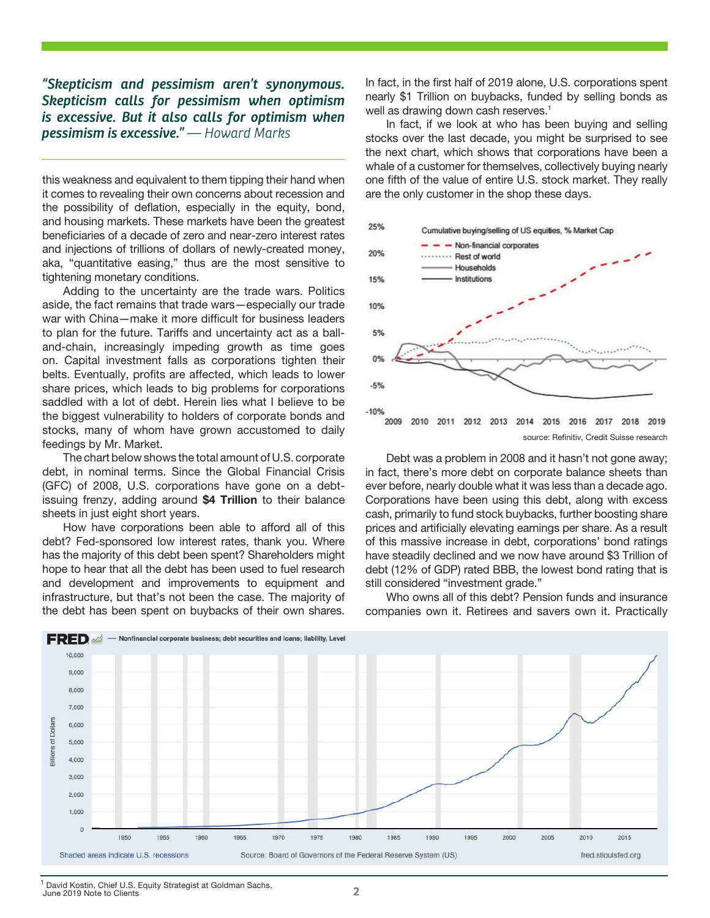*"Skepticism and pessimism aren't synonymous. Skepticism calls for pessimism when optimism is excessive. But it also calls for optimism when pessimism is excessive." — Howard Marks*

this weakness and equivalent to them tipping their hand when it comes to revealing their own concerns about recession and the possibility of deflation, especially in the equity, bond, and housing markets. These markets have been the greatest beneficiaries of a decade of zero and near-zero interest rates and injections of trillions of dollars of newly-created money, aka, "quantitative easing," thus are the most sensitive to tightening monetary conditions.

Adding to the uncertainty are the trade wars. Politics aside, the fact remains that trade wars—especially our trade war with China—make it more difficult for business leaders to plan for the future. Tariffs and uncertainty act as a balland-chain, increasingly impeding growth as time goes on. Capital investment falls as corporations tighten their belts. Eventually, profits are affected, which leads to lower share prices, which leads to big problems for corporations saddled with a lot of debt. Herein lies what I believe to be the biggest vulnerability to holders of corporate bonds and stocks, many of whom have grown accustomed to daily feedings by Mr. Market.

The chart below shows the total amount of U.S. corporate debt, in nominal terms. Since the Global Financial Crisis (GFC) of 2008, U.S. corporations have gone on a debtissuing frenzy, adding around \$4 Trillion to their balance sheets in just eight short years.

How have corporations been able to afford all of this debt? Fed-sponsored low interest rates, thank you. Where has the majority of this debt been spent? Shareholders might hope to hear that all the debt has been used to fuel research and development and improvements to equipment and infrastructure, but that's not been the case. The majority of the debt has been spent on buybacks of their own shares.

In fact, in the first half of 2019 alone, U.S. corporations spent nearly \$1 Trillion on buybacks, funded by selling bonds as well as drawing down cash reserves.<sup>1</sup>

In fact, if we look at who has been buying and selling stocks over the last decade, you might be surprised to see the next chart, which shows that corporations have been a whale of a customer for themselves, collectively buying nearly one fifth of the value of entire U.S. stock market. They really are the only customer in the shop these days.



Debt was a problem in 2008 and it hasn't not gone away; in fact, there's more debt on corporate balance sheets than ever before, nearly double what it was less than a decade ago. Corporations have been using this debt, along with excess cash, primarily to fund stock buybacks, further boosting share prices and artificially elevating earnings per share. As a result of this massive increase in debt, corporations' bond ratings have steadily declined and we now have around \$3 Trillion of debt (12% of GDP) rated BBB, the lowest bond rating that is still considered "investment grade."

Who owns all of this debt? Pension funds and insurance companies own it. Retirees and savers own it. Practically



<sup>1</sup> David Kostin, Chief U.S. Equity Strategist at Goldman Sachs, June 2019 Note to Clients